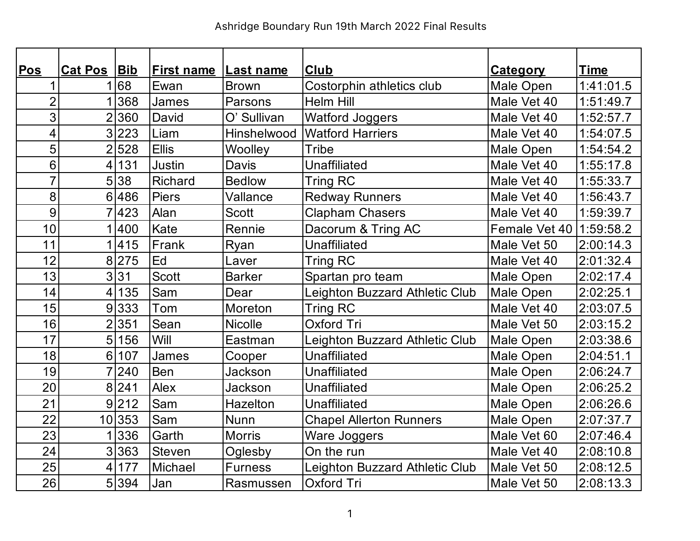| Pos             | Cat Pos Bib    |         | <b>First name</b> | <b>Last name</b> | <b>Club</b>                    | <b>Category</b> | <b>Time</b> |
|-----------------|----------------|---------|-------------------|------------------|--------------------------------|-----------------|-------------|
| 1               | 1.             | 68      | Ewan              | <b>Brown</b>     | Costorphin athletics club      | Male Open       | 1:41:01.5   |
| $\overline{2}$  |                | 368     | James             | Parsons          | <b>Helm Hill</b>               | Male Vet 40     | 1:51:49.7   |
| 3               |                | 2360    | David             | O' Sullivan      | <b>Watford Joggers</b>         | Male Vet 40     | 1:52:57.7   |
| 4               |                | 3 223   | Liam              | Hinshelwood      | <b>Watford Harriers</b>        | Male Vet 40     | 1:54:07.5   |
| 5               |                | 2 528   | <b>Ellis</b>      | Woolley          | Tribe                          | Male Open       | 1:54:54.2   |
| $6\phantom{1}6$ | 4 <sup>1</sup> | 131     | Justin            | <b>Davis</b>     | <b>Unaffiliated</b>            | Male Vet 40     | 1:55:17.8   |
| $\overline{7}$  |                | 5 38    | Richard           | <b>Bedlow</b>    | <b>Tring RC</b>                | Male Vet 40     | 1:55:33.7   |
| 8               |                | 6 486   | <b>Piers</b>      | Vallance         | <b>Redway Runners</b>          | Male Vet 40     | 1:56:43.7   |
| 9               |                | 7423    | Alan              | <b>Scott</b>     | <b>Clapham Chasers</b>         | Male Vet 40     | 1:59:39.7   |
| 10              |                | 1 400   | Kate              | Rennie           | Dacorum & Tring AC             | Female Vet 40   | 1:59:58.2   |
| 11              |                | 1415    | Frank             | Ryan             | Unaffiliated                   | Male Vet 50     | 2:00:14.3   |
| 12              |                | 8 275   | Ed                | Laver            | <b>Tring RC</b>                | Male Vet 40     | 2:01:32.4   |
| 13              |                | 3 31    | <b>Scott</b>      | <b>Barker</b>    | Spartan pro team               | Male Open       | 2:02:17.4   |
| 14              | 4              | 135     | Sam               | Dear             | Leighton Buzzard Athletic Club | Male Open       | 2:02:25.1   |
| 15              |                | 9 333   | Tom               | Moreton          | <b>Tring RC</b>                | Male Vet 40     | 2:03:07.5   |
| 16              | $\overline{2}$ | 351     | Sean              | <b>Nicolle</b>   | <b>Oxford Tri</b>              | Male Vet 50     | 2:03:15.2   |
| 17              | 5 <sup>1</sup> | 156     | Will              | Eastman          | Leighton Buzzard Athletic Club | Male Open       | 2:03:38.6   |
| 18              | 6 <sup>1</sup> | 107     | James             | Cooper           | <b>Unaffiliated</b>            | Male Open       | 2:04:51.1   |
| 19              |                | 7 240   | Ben               | Jackson          | <b>Unaffiliated</b>            | Male Open       | 2:06:24.7   |
| 20              |                | 8 241   | Alex              | <b>Jackson</b>   | <b>Unaffiliated</b>            | Male Open       | 2:06:25.2   |
| 21              |                | 9 212   | Sam               | Hazelton         | <b>Unaffiliated</b>            | Male Open       | 2:06:26.6   |
| 22              |                | 10 353  | Sam               | Nunn             | <b>Chapel Allerton Runners</b> | Male Open       | 2:07:37.7   |
| 23              | 1 <sup>1</sup> | 336     | Garth             | <b>Morris</b>    | Ware Joggers                   | Male Vet 60     | 2:07:46.4   |
| 24              |                | 3 363   | Steven            | Oglesby          | On the run                     | Male Vet 40     | 2:08:10.8   |
| 25              | 4 <sup>1</sup> | 177     | Michael           | <b>Furness</b>   | Leighton Buzzard Athletic Club | Male Vet 50     | 2:08:12.5   |
| 26              |                | 5 3 9 4 | Jan               | Rasmussen        | Oxford Tri                     | Male Vet 50     | 2:08:13.3   |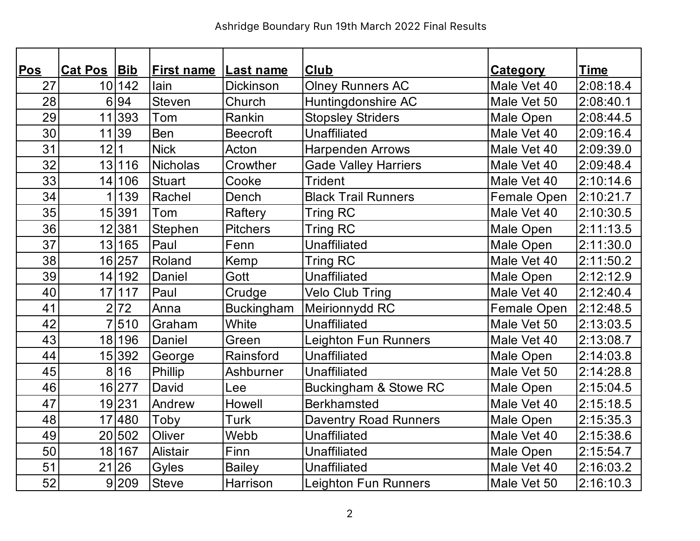| Pos | <b>Cat Pos</b> | Bib    | <b>First name</b> | Last name         | <b>Club</b>                  | <b>Category</b> | <u>Time</u> |
|-----|----------------|--------|-------------------|-------------------|------------------------------|-----------------|-------------|
| 27  |                | 10 142 | lain              | <b>Dickinson</b>  | <b>Olney Runners AC</b>      | Male Vet 40     | 2:08:18.4   |
| 28  | 6              | 94     | Steven            | Church            | Huntingdonshire AC           | Male Vet 50     | 2:08:40.1   |
| 29  |                | 11 393 | Tom               | Rankin            | <b>Stopsley Striders</b>     | Male Open       | 2:08:44.5   |
| 30  |                | 11 39  | Ben               | <b>Beecroft</b>   | Unaffiliated                 | Male Vet 40     | 2:09:16.4   |
| 31  | 12             |        | <b>Nick</b>       | Acton             | <b>Harpenden Arrows</b>      | Male Vet 40     | 2:09:39.0   |
| 32  |                | 13 116 | <b>Nicholas</b>   | Crowther          | <b>Gade Valley Harriers</b>  | Male Vet 40     | 2:09:48.4   |
| 33  |                | 14 106 | <b>Stuart</b>     | Cooke             | <b>Trident</b>               | Male Vet 40     | 2:10:14.6   |
| 34  |                | 139    | Rachel            | Dench             | <b>Black Trail Runners</b>   | Female Open     | 2:10:21.7   |
| 35  |                | 15 391 | Tom               | Raftery           | <b>Tring RC</b>              | Male Vet 40     | 2:10:30.5   |
| 36  |                | 12 381 | Stephen           | <b>Pitchers</b>   | <b>Tring RC</b>              | Male Open       | 2:11:13.5   |
| 37  | 13             | 165    | Paul              | Fenn              | <b>Unaffiliated</b>          | Male Open       | 2:11:30.0   |
| 38  |                | 16 257 | Roland            | Kemp              | <b>Tring RC</b>              | Male Vet 40     | 2:11:50.2   |
| 39  |                | 14 192 | Daniel            | Gott              | <b>Unaffiliated</b>          | Male Open       | 2:12:12.9   |
| 40  |                | 17 117 | Paul              | Crudge            | <b>Velo Club Tring</b>       | Male Vet 40     | 2:12:40.4   |
| 41  | $\overline{2}$ | 72     | Anna              | <b>Buckingham</b> | Meirionnydd RC               | Female Open     | 2:12:48.5   |
| 42  |                | 510    | Graham            | White             | Unaffiliated                 | Male Vet 50     | 2:13:03.5   |
| 43  |                | 18 196 | Daniel            | Green             | Leighton Fun Runners         | Male Vet 40     | 2:13:08.7   |
| 44  |                | 15 392 | George            | Rainsford         | Unaffiliated                 | Male Open       | 2:14:03.8   |
| 45  | 8              | 16     | Phillip           | Ashburner         | <b>Unaffiliated</b>          | Male Vet 50     | 2:14:28.8   |
| 46  |                | 16 277 | David             | Lee               | Buckingham & Stowe RC        | Male Open       | 2:15:04.5   |
| 47  |                | 19 231 | Andrew            | Howell            | <b>Berkhamsted</b>           | Male Vet 40     | 2:15:18.5   |
| 48  |                | 17 480 | Toby              | Turk              | <b>Daventry Road Runners</b> | Male Open       | 2:15:35.3   |
| 49  |                | 20 502 | Oliver            | Webb              | Unaffiliated                 | Male Vet 40     | 2:15:38.6   |
| 50  |                | 18 167 | Alistair          | Finn              | <b>Unaffiliated</b>          | Male Open       | 2:15:54.7   |
| 51  |                | 21 26  | Gyles             | <b>Bailey</b>     | <b>Unaffiliated</b>          | Male Vet 40     | 2:16:03.2   |
| 52  |                | 9 209  | <b>Steve</b>      | Harrison          | Leighton Fun Runners         | Male Vet 50     | 2:16:10.3   |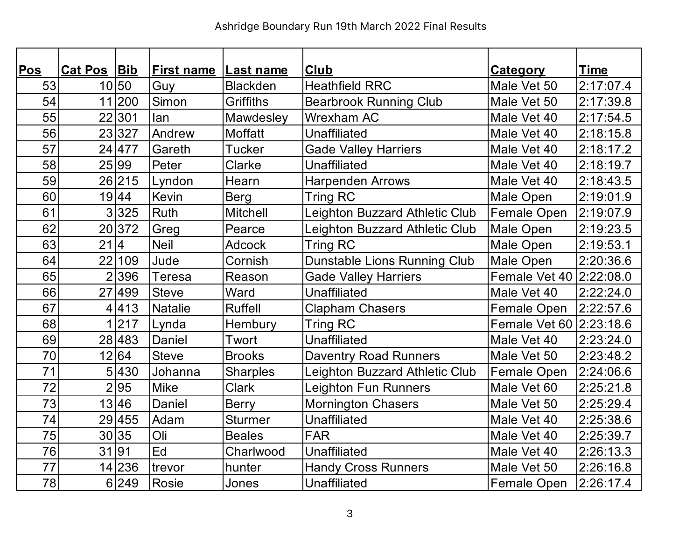| <b>Pos</b> | Cat Pos Bib |        | <b>First name</b> | <b>Last name</b> | <b>Club</b>                    | <b>Category</b>         | <b>Time</b> |
|------------|-------------|--------|-------------------|------------------|--------------------------------|-------------------------|-------------|
| 53         |             | 10 50  | Guy               | <b>Blackden</b>  | <b>Heathfield RRC</b>          | Male Vet 50             | 2:17:07.4   |
| 54         |             | 11 200 | Simon             | <b>Griffiths</b> | <b>Bearbrook Running Club</b>  | Male Vet 50             | 2:17:39.8   |
| 55         |             | 22 301 | lan               | Mawdesley        | <b>Wrexham AC</b>              | Male Vet 40             | 2:17:54.5   |
| 56         |             | 23 327 | Andrew            | <b>Moffatt</b>   | Unaffiliated                   | Male Vet 40             | 2:18:15.8   |
| 57         |             | 24 477 | Gareth            | <b>Tucker</b>    | <b>Gade Valley Harriers</b>    | Male Vet 40             | 2:18:17.2   |
| 58         |             | 25 99  | Peter             | Clarke           | <b>Unaffiliated</b>            | Male Vet 40             | 2:18:19.7   |
| 59         |             | 26 215 | Lyndon            | Hearn            | <b>Harpenden Arrows</b>        | Male Vet 40             | 2:18:43.5   |
| 60         |             | 19 44  | <b>Kevin</b>      | <b>Berg</b>      | <b>Tring RC</b>                | Male Open               | 2:19:01.9   |
| 61         |             | 3 325  | <b>Ruth</b>       | <b>Mitchell</b>  | Leighton Buzzard Athletic Club | Female Open             | 2:19:07.9   |
| 62         |             | 20 372 | Greg              | Pearce           | Leighton Buzzard Athletic Club | Male Open               | 2:19:23.5   |
| 63         | 21 4        |        | <b>Neil</b>       | <b>Adcock</b>    | <b>Tring RC</b>                | Male Open               | 2:19:53.1   |
| 64         |             | 22 109 | Jude              | Cornish          | Dunstable Lions Running Club   | Male Open               | 2:20:36.6   |
| 65         |             | 2396   | <b>Teresa</b>     | Reason           | <b>Gade Valley Harriers</b>    | Female Vet 40 2:22:08.0 |             |
| 66         |             | 27 499 | <b>Steve</b>      | Ward             | Unaffiliated                   | Male Vet 40             | 2:22:24.0   |
| 67         |             | 4 413  | <b>Natalie</b>    | <b>Ruffell</b>   | <b>Clapham Chasers</b>         | Female Open             | 2:22:57.6   |
| 68         |             | 1 217  | Lynda             | Hembury          | <b>Tring RC</b>                | Female Vet 60 2:23:18.6 |             |
| 69         |             | 28 483 | Daniel            | Twort            | <b>Unaffiliated</b>            | Male Vet 40             | 2:23:24.0   |
| 70         |             | 12 64  | Steve             | <b>Brooks</b>    | <b>Daventry Road Runners</b>   | Male Vet 50             | 2:23:48.2   |
| 71         |             | 5 430  | Johanna           | <b>Sharples</b>  | Leighton Buzzard Athletic Club | <b>Female Open</b>      | 2:24:06.6   |
| 72         |             | 2 95   | <b>Mike</b>       | <b>Clark</b>     | Leighton Fun Runners           | Male Vet 60             | 2:25:21.8   |
| 73         |             | 13 46  | Daniel            | <b>Berry</b>     | <b>Mornington Chasers</b>      | Male Vet 50             | 2:25:29.4   |
| 74         |             | 29 455 | Adam              | <b>Sturmer</b>   | Unaffiliated                   | Male Vet 40             | 2:25:38.6   |
| 75         |             | 30 35  | Oli               | <b>Beales</b>    | <b>FAR</b>                     | Male Vet 40             | 2:25:39.7   |
| 76         |             | 31 91  | Ed                | Charlwood        | Unaffiliated                   | Male Vet 40             | 2:26:13.3   |
| 77         |             | 14 236 | trevor            | hunter           | <b>Handy Cross Runners</b>     | Male Vet 50             | 2:26:16.8   |
| 78         |             | 6 249  | Rosie             | Jones            | Unaffiliated                   | <b>Female Open</b>      | 2:26:17.4   |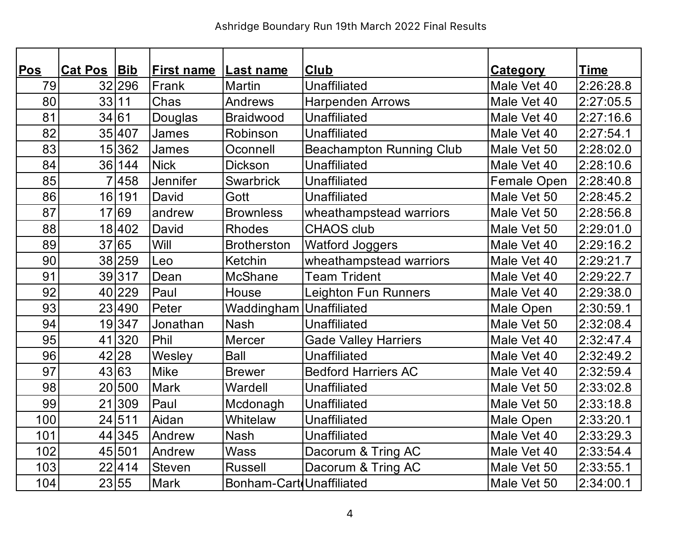| <b>Pos</b> | <b>Cat Pos</b> |        |                   |                          | <b>Club</b>                     |                 |             |
|------------|----------------|--------|-------------------|--------------------------|---------------------------------|-----------------|-------------|
|            |                | Bib    | <b>First name</b> | <b>Last name</b>         |                                 | <b>Category</b> | <u>Time</u> |
| 79         |                | 32 296 | Frank             | <b>Martin</b>            | <b>Unaffiliated</b>             | Male Vet 40     | 2:26:28.8   |
| 80         | 33             | 11     | Chas              | <b>Andrews</b>           | <b>Harpenden Arrows</b>         | Male Vet 40     | 2:27:05.5   |
| 81         | 34 61          |        | Douglas           | <b>Braidwood</b>         | <b>Unaffiliated</b>             | Male Vet 40     | 2:27:16.6   |
| 82         |                | 35 407 | James             | Robinson                 | <b>Unaffiliated</b>             | Male Vet 40     | 2:27:54.1   |
| 83         |                | 15 362 | James             | Oconnell                 | <b>Beachampton Running Club</b> | Male Vet 50     | 2:28:02.0   |
| 84         |                | 36 144 | <b>Nick</b>       | <b>Dickson</b>           | <b>Unaffiliated</b>             | Male Vet 40     | 2:28:10.6   |
| 85         |                | 7458   | Jennifer          | <b>Swarbrick</b>         | <b>Unaffiliated</b>             | Female Open     | 2:28:40.8   |
| 86         | 16             | 191    | David             | Gott                     | Unaffiliated                    | Male Vet 50     | 2:28:45.2   |
| 87         |                | 17 69  | andrew            | <b>Brownless</b>         | wheathampstead warriors         | Male Vet 50     | 2:28:56.8   |
| 88         |                | 18 402 | David             | <b>Rhodes</b>            | <b>CHAOS club</b>               | Male Vet 50     | 2:29:01.0   |
| 89         |                | 37 65  | Will              | <b>Brotherston</b>       | <b>Watford Joggers</b>          | Male Vet 40     | 2:29:16.2   |
| 90         |                | 38 259 | Leo               | Ketchin                  | wheathampstead warriors         | Male Vet 40     | 2:29:21.7   |
| 91         |                | 39317  | Dean              | <b>McShane</b>           | <b>Team Trident</b>             | Male Vet 40     | 2:29:22.7   |
| 92         |                | 40 229 | Paul              | House                    | <b>Leighton Fun Runners</b>     | Male Vet 40     | 2:29:38.0   |
| 93         |                | 23 490 | Peter             | Waddingham               | <b>Unaffiliated</b>             | Male Open       | 2:30:59.1   |
| 94         |                | 19347  | Jonathan          | <b>Nash</b>              | <b>Unaffiliated</b>             | Male Vet 50     | 2:32:08.4   |
| 95         |                | 41 320 | Phil              | Mercer                   | <b>Gade Valley Harriers</b>     | Male Vet 40     | 2:32:47.4   |
| 96         |                | 42 28  | Wesley            | <b>Ball</b>              | <b>Unaffiliated</b>             | Male Vet 40     | 2:32:49.2   |
| 97         |                | 43 63  | <b>Mike</b>       | <b>Brewer</b>            | <b>Bedford Harriers AC</b>      | Male Vet 40     | 2:32:59.4   |
| 98         |                | 20 500 | <b>Mark</b>       | Wardell                  | Unaffiliated                    | Male Vet 50     | 2:33:02.8   |
| 99         |                | 21 309 | Paul              | Mcdonagh                 | <b>Unaffiliated</b>             | Male Vet 50     | 2:33:18.8   |
| 100        |                | 24 511 | Aidan             | Whitelaw                 | <b>Unaffiliated</b>             | Male Open       | 2:33:20.1   |
| 101        |                | 44 345 | Andrew            | <b>Nash</b>              | Unaffiliated                    | Male Vet 40     | 2:33:29.3   |
| 102        |                | 45 501 | Andrew            | <b>Wass</b>              | Dacorum & Tring AC              | Male Vet 40     | 2:33:54.4   |
| 103        |                | 22 414 | <b>Steven</b>     | <b>Russell</b>           | Dacorum & Tring AC              | Male Vet 50     | 2:33:55.1   |
| 104        |                | 23 55  | <b>Mark</b>       | Bonham-Cart Unaffiliated |                                 | Male Vet 50     | 2:34:00.1   |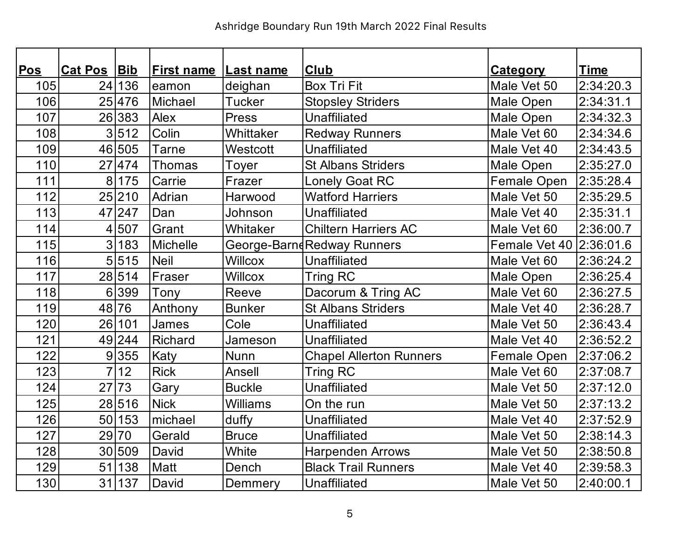| Pos | <b>Cat Pos</b> | Bib    | <b>First name</b> | Last name       | <b>Club</b>                    | <b>Category</b>         | <b>Time</b> |
|-----|----------------|--------|-------------------|-----------------|--------------------------------|-------------------------|-------------|
| 105 |                | 24 136 | eamon             | deighan         | <b>Box Tri Fit</b>             | Male Vet 50             | 2:34:20.3   |
| 106 |                | 25 476 | Michael           | <b>Tucker</b>   | <b>Stopsley Striders</b>       | Male Open               | 2:34:31.1   |
| 107 |                | 26 383 | Alex              | <b>Press</b>    | <b>Unaffiliated</b>            | Male Open               | 2:34:32.3   |
| 108 |                | 3 512  | Colin             | Whittaker       | <b>Redway Runners</b>          | Male Vet 60             | 2:34:34.6   |
| 109 |                | 46 505 | Tarne             | Westcott        | <b>Unaffiliated</b>            | Male Vet 40             | 2:34:43.5   |
| 110 |                | 27 474 | <b>Thomas</b>     | Toyer           | <b>St Albans Striders</b>      | Male Open               | 2:35:27.0   |
| 111 |                | 8 175  | Carrie            | Frazer          | <b>Lonely Goat RC</b>          | Female Open             | 2:35:28.4   |
| 112 |                | 25 210 | Adrian            | Harwood         | <b>Watford Harriers</b>        | Male Vet 50             | 2:35:29.5   |
| 113 |                | 47 247 | Dan               | Johnson         | <b>Unaffiliated</b>            | Male Vet 40             | 2:35:31.1   |
| 114 |                | 4 507  | Grant             | Whitaker        | <b>Chiltern Harriers AC</b>    | Male Vet 60             | 2:36:00.7   |
| 115 |                | 3 183  | Michelle          |                 | George-BarndRedway Runners     | Female Vet 40 2:36:01.6 |             |
| 116 |                | 5 515  | Neil              | <b>Willcox</b>  | <b>Unaffiliated</b>            | Male Vet 60             | 2:36:24.2   |
| 117 |                | 28 514 | Fraser            | <b>Willcox</b>  | Tring RC                       | Male Open               | 2:36:25.4   |
| 118 |                | 6 399  | Tony              | Reeve           | Dacorum & Tring AC             | Male Vet 60             | 2:36:27.5   |
| 119 |                | 48 76  | Anthony           | <b>Bunker</b>   | <b>St Albans Striders</b>      | Male Vet 40             | 2:36:28.7   |
| 120 |                | 26 101 | James             | Cole            | <b>Unaffiliated</b>            | Male Vet 50             | 2:36:43.4   |
| 121 |                | 49 244 | <b>Richard</b>    | Jameson         | <b>Unaffiliated</b>            | Male Vet 40             | 2:36:52.2   |
| 122 |                | 9 355  | Katy              | <b>Nunn</b>     | <b>Chapel Allerton Runners</b> | Female Open             | 2:37:06.2   |
| 123 | 7 <sup>1</sup> | 12     | <b>Rick</b>       | Ansell          | <b>Tring RC</b>                | Male Vet 60             | 2:37:08.7   |
| 124 |                | 27 73  | Gary              | <b>Buckle</b>   | <b>Unaffiliated</b>            | Male Vet 50             | 2:37:12.0   |
| 125 |                | 28 516 | <b>Nick</b>       | <b>Williams</b> | On the run                     | Male Vet 50             | 2:37:13.2   |
| 126 |                | 50 153 | michael           | duffy           | <b>Unaffiliated</b>            | Male Vet 40             | 2:37:52.9   |
| 127 |                | 29 70  | Gerald            | <b>Bruce</b>    | Unaffiliated                   | Male Vet 50             | 2:38:14.3   |
| 128 |                | 30 509 | David             | White           | <b>Harpenden Arrows</b>        | Male Vet 50             | 2:38:50.8   |
| 129 |                | 51 138 | Matt              | Dench           | <b>Black Trail Runners</b>     | Male Vet 40             | 2:39:58.3   |
| 130 |                | 31 137 | David             | Demmery         | <b>Unaffiliated</b>            | Male Vet 50             | 2:40:00.1   |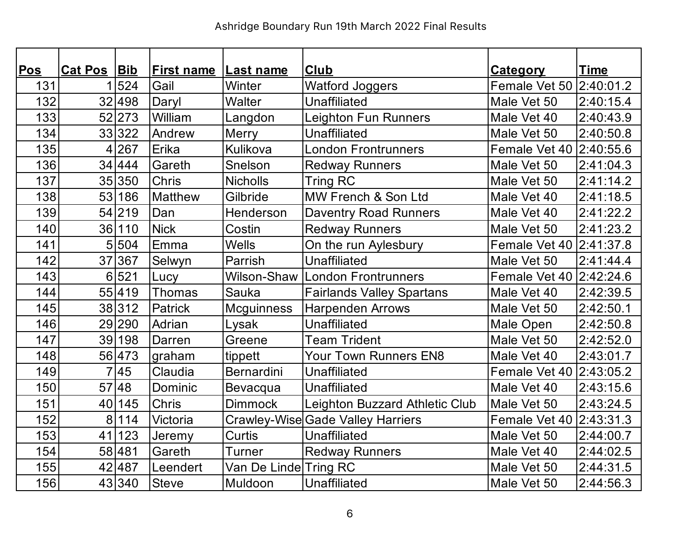| <b>Pos</b> | Cat Pos Bib    |        | <b>First name</b> | <b>Last name</b>      | <b>Club</b>                              | <b>Category</b>         | <b>Time</b> |
|------------|----------------|--------|-------------------|-----------------------|------------------------------------------|-------------------------|-------------|
| 131        |                | 524    | Gail              | Winter                | <b>Watford Joggers</b>                   | Female Vet 50 2:40:01.2 |             |
| 132        |                | 32 498 | Daryl             | Walter                | Unaffiliated                             | Male Vet 50             | 2:40:15.4   |
| 133        |                | 52 273 | William           | Langdon               | <b>Leighton Fun Runners</b>              | Male Vet 40             | 2:40:43.9   |
| 134        |                | 33 322 | Andrew            | Merry                 | <b>Unaffiliated</b>                      | Male Vet 50             | 2:40:50.8   |
| 135        | 4              | 267    | Erika             | Kulikova              | <b>London Frontrunners</b>               | Female Vet 40 2:40:55.6 |             |
| 136        |                | 34 444 | Gareth            | Snelson               | <b>Redway Runners</b>                    | Male Vet 50             | 2:41:04.3   |
| 137        |                | 35 350 | <b>Chris</b>      | <b>Nicholls</b>       | Tring RC                                 | Male Vet 50             | 2:41:14.2   |
| 138        | 53             | 186    | <b>Matthew</b>    | Gilbride              | MW French & Son Ltd                      | Male Vet 40             | 2:41:18.5   |
| 139        |                | 54 219 | Dan               | Henderson             | <b>Daventry Road Runners</b>             | Male Vet 40             | 2:41:22.2   |
| 140        |                | 36 110 | <b>Nick</b>       | Costin                | <b>Redway Runners</b>                    | Male Vet 50             | 2:41:23.2   |
| 141        | 5              | 504    | Emma              | <b>Wells</b>          | On the run Aylesbury                     | Female Vet 40 2:41:37.8 |             |
| 142        |                | 37 367 | Selwyn            | Parrish               | <b>Unaffiliated</b>                      | Male Vet 50             | 2:41:44.4   |
| 143        |                | 6 521  | Lucy              | Wilson-Shaw           | <b>London Frontrunners</b>               | Female Vet 40 2:42:24.6 |             |
| 144        |                | 55 419 | Thomas            | <b>Sauka</b>          | <b>Fairlands Valley Spartans</b>         | Male Vet 40             | 2:42:39.5   |
| 145        |                | 38 312 | Patrick           | <b>Mcguinness</b>     | <b>Harpenden Arrows</b>                  | Male Vet 50             | 2:42:50.1   |
| 146        |                | 29 290 | Adrian            | Lysak                 | <b>Unaffiliated</b>                      | Male Open               | 2:42:50.8   |
| 147        |                | 39 198 | Darren            | Greene                | <b>Team Trident</b>                      | Male Vet 50             | 2:42:52.0   |
| 148        |                | 56 473 | graham            | tippett               | Your Town Runners EN8                    | Male Vet 40             | 2:43:01.7   |
| 149        | $\overline{7}$ | 45     | Claudia           | Bernardini            | <b>Unaffiliated</b>                      | Female Vet 40 2:43:05.2 |             |
| 150        |                | 57 48  | Dominic           | Bevacqua              | Unaffiliated                             | Male Vet 40             | 2:43:15.6   |
| 151        | 40             | 145    | Chris             | <b>Dimmock</b>        | Leighton Buzzard Athletic Club           | Male Vet 50             | 2:43:24.5   |
| 152        | 8 <sup>1</sup> | 114    | Victoria          |                       | <b>Crawley-Wise Gade Valley Harriers</b> | Female Vet 40 2:43:31.3 |             |
| 153        | 41             | 123    | Jeremy            | Curtis                | <b>Unaffiliated</b>                      | Male Vet 50             | 2:44:00.7   |
| 154        |                | 58 481 | Gareth            | Turner                | <b>Redway Runners</b>                    | Male Vet 40             | 2:44:02.5   |
| 155        |                | 42 487 | Leendert          | Van De Linde Tring RC |                                          | Male Vet 50             | 2:44:31.5   |
| 156        |                | 43 340 | <b>Steve</b>      | Muldoon               | <b>Unaffiliated</b>                      | Male Vet 50             | 2:44:56.3   |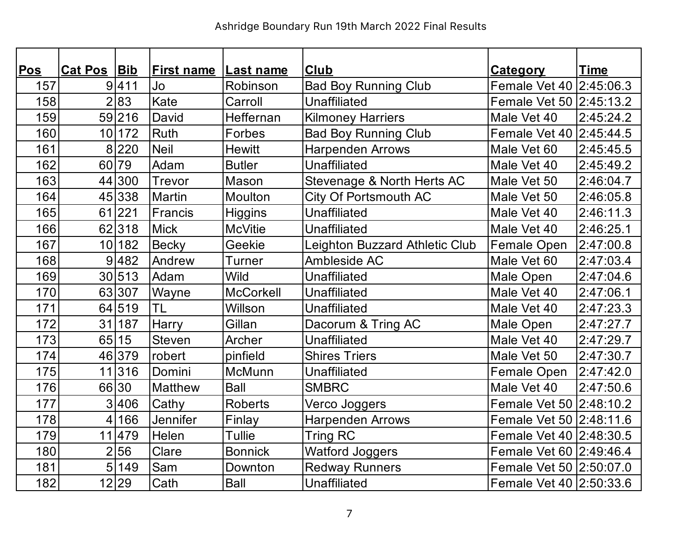| Pos | Cat Pos Bib    |        | <b>First name</b> | Last name        | <b>Club</b>                    | <b>Category</b>           | <b>Time</b> |
|-----|----------------|--------|-------------------|------------------|--------------------------------|---------------------------|-------------|
| 157 |                | 9 411  | Jo                | Robinson         | <b>Bad Boy Running Club</b>    | Female Vet 40 2:45:06.3   |             |
| 158 | $\overline{2}$ | 83     | Kate              | Carroll          | <b>Unaffiliated</b>            | Female Vet 50   2:45:13.2 |             |
| 159 |                | 59 216 | David             | Heffernan        | <b>Kilmoney Harriers</b>       | Male Vet 40               | 2:45:24.2   |
| 160 |                | 10 172 | Ruth              | Forbes           | <b>Bad Boy Running Club</b>    | Female Vet 40 2:45:44.5   |             |
| 161 | 8 <sup>1</sup> | 220    | <b>Neil</b>       | <b>Hewitt</b>    | <b>Harpenden Arrows</b>        | Male Vet 60               | 2:45:45.5   |
| 162 |                | 60 79  | Adam              | <b>Butler</b>    | <b>Unaffiliated</b>            | Male Vet 40               | 2:45:49.2   |
| 163 |                | 44 300 | Trevor            | Mason            | Stevenage & North Herts AC     | Male Vet 50               | 2:46:04.7   |
| 164 |                | 45 338 | <b>Martin</b>     | <b>Moulton</b>   | City Of Portsmouth AC          | Male Vet 50               | 2:46:05.8   |
| 165 |                | 61 221 | Francis           | <b>Higgins</b>   | <b>Unaffiliated</b>            | Male Vet 40               | 2:46:11.3   |
| 166 |                | 62 318 | <b>Mick</b>       | <b>McVitie</b>   | Unaffiliated                   | Male Vet 40               | 2:46:25.1   |
| 167 | 10             | 182    | <b>Becky</b>      | Geekie           | Leighton Buzzard Athletic Club | <b>Female Open</b>        | 2:47:00.8   |
| 168 |                | 9 482  | Andrew            | Turner           | Ambleside AC                   | Male Vet 60               | 2:47:03.4   |
| 169 |                | 30 513 | Adam              | <b>Wild</b>      | Unaffiliated                   | Male Open                 | 2:47:04.6   |
| 170 |                | 63 307 | Wayne             | <b>McCorkell</b> | Unaffiliated                   | Male Vet 40               | 2:47:06.1   |
| 171 |                | 64 519 | <b>TL</b>         | Willson          | <b>Unaffiliated</b>            | Male Vet 40               | 2:47:23.3   |
| 172 |                | 31 187 | Harry             | Gillan           | Dacorum & Tring AC             | Male Open                 | 2:47:27.7   |
| 173 | 65             | 15     | <b>Steven</b>     | Archer           | <b>Unaffiliated</b>            | Male Vet 40               | 2:47:29.7   |
| 174 |                | 46 379 | robert            | pinfield         | <b>Shires Triers</b>           | Male Vet 50               | 2:47:30.7   |
| 175 |                | 11 316 | Domini            | McMunn           | <b>Unaffiliated</b>            | Female Open               | 2:47:42.0   |
| 176 |                | 66 30  | <b>Matthew</b>    | <b>Ball</b>      | <b>SMBRC</b>                   | Male Vet 40               | 2:47:50.6   |
| 177 |                | 3 406  | Cathy             | <b>Roberts</b>   | Verco Joggers                  | Female Vet 50 2:48:10.2   |             |
| 178 | 4              | 166    | <b>Jennifer</b>   | Finlay           | <b>Harpenden Arrows</b>        | Female Vet 50 2:48:11.6   |             |
| 179 |                | 11 479 | Helen             | Tullie           | Tring RC                       | Female Vet 40   2:48:30.5 |             |
| 180 | $\overline{2}$ | 56     | Clare             | <b>Bonnick</b>   | <b>Watford Joggers</b>         | Female Vet 60 2:49:46.4   |             |
| 181 | 5              | 149    | Sam               | Downton          | <b>Redway Runners</b>          | Female Vet 50 2:50:07.0   |             |
| 182 |                | 12 29  | Cath              | <b>Ball</b>      | <b>Unaffiliated</b>            | Female Vet 40 2:50:33.6   |             |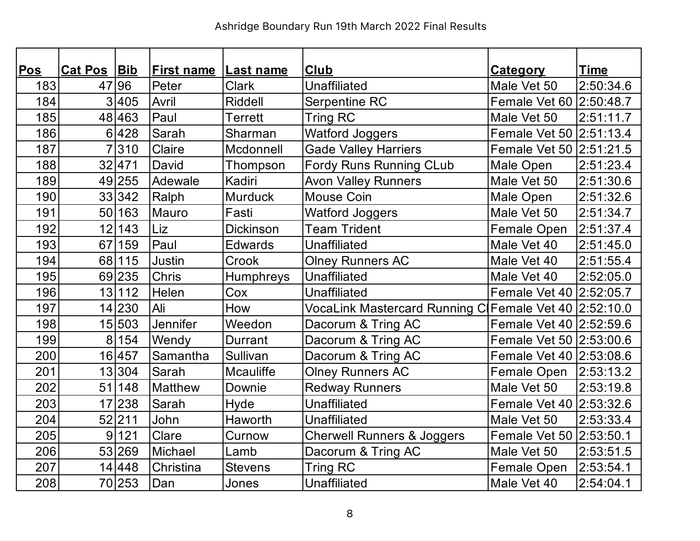| <b>Pos</b> | <b>Cat Pos Bib</b> |        | <b>First name</b> | <b>Last name</b> | <b>Club</b>                                           | <b>Category</b>           | <b>Time</b> |
|------------|--------------------|--------|-------------------|------------------|-------------------------------------------------------|---------------------------|-------------|
| 183        |                    | 47 96  | Peter             | <b>Clark</b>     | <b>Unaffiliated</b>                                   | Male Vet 50               | 2:50:34.6   |
| 184        |                    | 3 405  | Avril             | Riddell          | Serpentine RC                                         | Female Vet 60 2:50:48.7   |             |
| 185        |                    | 48 463 | Paul              | <b>Terrett</b>   | <b>Tring RC</b>                                       | Male Vet 50               | 2:51:11.7   |
| 186        |                    | 6 428  | Sarah             | Sharman          | <b>Watford Joggers</b>                                | Female Vet 50 2:51:13.4   |             |
| 187        |                    | 310    | Claire            | Mcdonnell        | <b>Gade Valley Harriers</b>                           | Female Vet 50   2:51:21.5 |             |
| 188        |                    | 32 471 | David             | Thompson         | Fordy Runs Running CLub                               | Male Open                 | 2:51:23.4   |
| 189        |                    | 49 255 | Adewale           | Kadiri           | <b>Avon Valley Runners</b>                            | Male Vet 50               | 2:51:30.6   |
| 190        |                    | 33 342 | Ralph             | <b>Murduck</b>   | Mouse Coin                                            | Male Open                 | 2:51:32.6   |
| 191        |                    | 50 163 | Mauro             | Fasti            | <b>Watford Joggers</b>                                | Male Vet 50               | 2:51:34.7   |
| 192        |                    | 12 143 | Liz               | <b>Dickinson</b> | <b>Team Trident</b>                                   | Female Open               | 2:51:37.4   |
| 193        |                    | 67 159 | Paul              | Edwards          | <b>Unaffiliated</b>                                   | Male Vet 40               | 2:51:45.0   |
| 194        |                    | 68 115 | Justin            | Crook            | <b>Olney Runners AC</b>                               | Male Vet 40               | 2:51:55.4   |
| 195        |                    | 69 235 | <b>Chris</b>      | Humphreys        | Unaffiliated                                          | Male Vet 40               | 2:52:05.0   |
| 196        |                    | 13 112 | Helen             | Cox              | <b>Unaffiliated</b>                                   | Female Vet 40 2:52:05.7   |             |
| 197        |                    | 14 230 | Ali               | How              | VocaLink Mastercard Running C Female Vet 40 2:52:10.0 |                           |             |
| 198        |                    | 15 503 | <b>Jennifer</b>   | Weedon           | Dacorum & Tring AC                                    | Female Vet 40 2:52:59.6   |             |
| 199        | 8 <sup>1</sup>     | 154    | Wendy             | Durrant          | Dacorum & Tring AC                                    | Female Vet 50 2:53:00.6   |             |
| 200        |                    | 16 457 | Samantha          | Sullivan         | Dacorum & Tring AC                                    | Female Vet 40 2:53:08.6   |             |
| 201        |                    | 13 304 | Sarah             | Mcauliffe        | <b>Olney Runners AC</b>                               | Female Open               | 2:53:13.2   |
| 202        | 51                 | 148    | <b>Matthew</b>    | Downie           | <b>Redway Runners</b>                                 | Male Vet 50               | 2:53:19.8   |
| 203        |                    | 17 238 | Sarah             | Hyde             | <b>Unaffiliated</b>                                   | Female Vet 40 2:53:32.6   |             |
| 204        |                    | 52 211 | John              | Haworth          | <b>Unaffiliated</b>                                   | Male Vet 50               | 2:53:33.4   |
| 205        | 9                  | 121    | Clare             | Curnow           | <b>Cherwell Runners &amp; Joggers</b>                 | Female Vet 50 2:53:50.1   |             |
| 206        |                    | 53 269 | Michael           | Lamb             | Dacorum & Tring AC                                    | Male Vet 50               | 2:53:51.5   |
| 207        |                    | 14 448 | Christina         | <b>Stevens</b>   | <b>Tring RC</b>                                       | Female Open               | 2:53:54.1   |
| 208        |                    | 70 253 | Dan               | Jones            | <b>Unaffiliated</b>                                   | Male Vet 40               | 2:54:04.1   |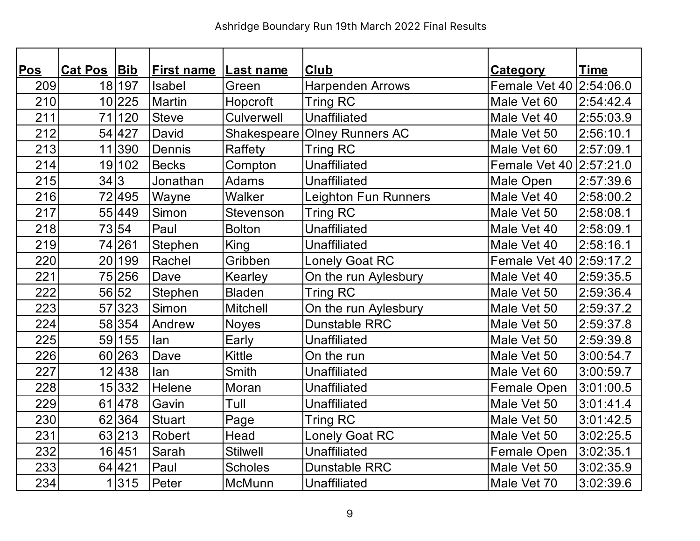| <b>Pos</b> | Cat Pos Bib |        | <b>First name</b> | <b>Last name</b> | <b>Club</b>             | <b>Category</b>         | <b>Time</b> |
|------------|-------------|--------|-------------------|------------------|-------------------------|-------------------------|-------------|
| 209        |             | 18 197 | Isabel            | Green            | <b>Harpenden Arrows</b> | Female Vet 40 2:54:06.0 |             |
| 210        |             | 10 225 | <b>Martin</b>     | Hopcroft         | <b>Tring RC</b>         | Male Vet 60             | 2:54:42.4   |
| 211        | 71          | 120    | <b>Steve</b>      | Culverwell       | <b>Unaffiliated</b>     | Male Vet 40             | 2:55:03.9   |
| 212        |             | 54 427 | David             | Shakespeare      | <b>Olney Runners AC</b> | Male Vet 50             | 2:56:10.1   |
| 213        |             | 11 390 | Dennis            | Raffety          | <b>Tring RC</b>         | Male Vet 60             | 2:57:09.1   |
| 214        |             | 19 102 | <b>Becks</b>      | Compton          | <b>Unaffiliated</b>     | Female Vet 40 2:57:21.0 |             |
| 215        | 34 3        |        | Jonathan          | <b>Adams</b>     | <b>Unaffiliated</b>     | Male Open               | 2:57:39.6   |
| 216        |             | 72 495 | Wayne             | Walker           | Leighton Fun Runners    | Male Vet 40             | 2:58:00.2   |
| 217        |             | 55 449 | Simon             | Stevenson        | <b>Tring RC</b>         | Male Vet 50             | 2:58:08.1   |
| 218        |             | 73 54  | Paul              | <b>Bolton</b>    | <b>Unaffiliated</b>     | Male Vet 40             | 2:58:09.1   |
| 219        |             | 74 261 | Stephen           | King             | Unaffiliated            | Male Vet 40             | 2:58:16.1   |
| 220        |             | 20 199 | Rachel            | Gribben          | <b>Lonely Goat RC</b>   | Female Vet 40 2:59:17.2 |             |
| 221        |             | 75 256 | Dave              | Kearley          | On the run Aylesbury    | Male Vet 40             | 2:59:35.5   |
| 222        |             | 56 52  | Stephen           | <b>Bladen</b>    | Tring RC                | Male Vet 50             | 2:59:36.4   |
| 223        |             | 57 323 | Simon             | <b>Mitchell</b>  | On the run Aylesbury    | Male Vet 50             | 2:59:37.2   |
| 224        |             | 58 354 | Andrew            | <b>Noyes</b>     | <b>Dunstable RRC</b>    | Male Vet 50             | 2:59:37.8   |
| 225        |             | 59 155 | lan               | Early            | <b>Unaffiliated</b>     | Male Vet 50             | 2:59:39.8   |
| 226        |             | 60 263 | Dave              | <b>Kittle</b>    | On the run              | Male Vet 50             | 3:00:54.7   |
| 227        |             | 12 438 | lan               | <b>Smith</b>     | <b>Unaffiliated</b>     | Male Vet 60             | 3:00:59.7   |
| 228        |             | 15 332 | Helene            | Moran            | <b>Unaffiliated</b>     | Female Open             | 3:01:00.5   |
| 229        |             | 61 478 | Gavin             | Tull             | <b>Unaffiliated</b>     | Male Vet 50             | 3:01:41.4   |
| 230        |             | 62 364 | <b>Stuart</b>     | Page             | <b>Tring RC</b>         | Male Vet 50             | 3:01:42.5   |
| 231        |             | 63 213 | Robert            | Head             | <b>Lonely Goat RC</b>   | Male Vet 50             | 3:02:25.5   |
| 232        |             | 16 451 | Sarah             | <b>Stilwell</b>  | <b>Unaffiliated</b>     | Female Open             | 3:02:35.1   |
| 233        |             | 64 421 | Paul              | <b>Scholes</b>   | <b>Dunstable RRC</b>    | Male Vet 50             | 3:02:35.9   |
| 234        |             | 1 315  | Peter             | <b>McMunn</b>    | <b>Unaffiliated</b>     | Male Vet 70             | 3:02:39.6   |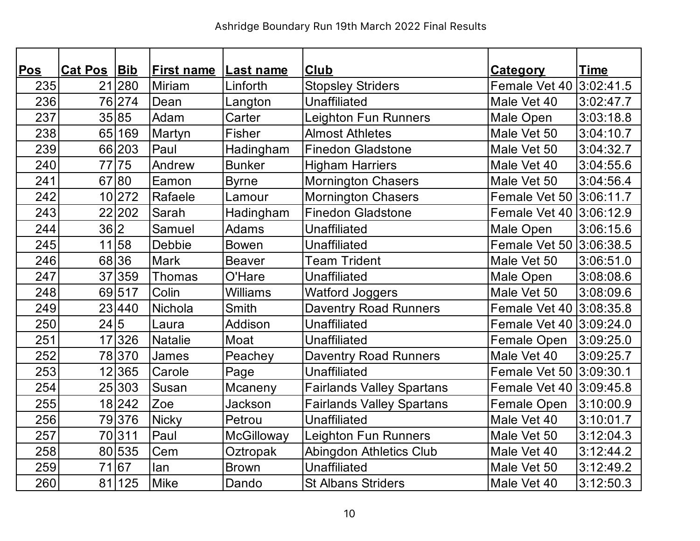| Pos | <b>Cat Pos</b> | Bib    | <b>First name</b> | <b>Last name</b> | Club                             | <b>Category</b>         | <b>Time</b> |
|-----|----------------|--------|-------------------|------------------|----------------------------------|-------------------------|-------------|
| 235 |                | 21 280 | Miriam            | Linforth         | <b>Stopsley Striders</b>         | Female Vet 40 3:02:41.5 |             |
| 236 |                | 76 274 | Dean              | Langton          | <b>Unaffiliated</b>              | Male Vet 40             | 3:02:47.7   |
| 237 |                | 35 85  | Adam              | Carter           | <b>Leighton Fun Runners</b>      | Male Open               | 3:03:18.8   |
| 238 |                | 65 169 | Martyn            | Fisher           | <b>Almost Athletes</b>           | Male Vet 50             | 3:04:10.7   |
| 239 |                | 66 203 | Paul              | Hadingham        | <b>Finedon Gladstone</b>         | Male Vet 50             | 3:04:32.7   |
| 240 |                | 77 75  | Andrew            | <b>Bunker</b>    | <b>Higham Harriers</b>           | Male Vet 40             | 3:04:55.6   |
| 241 |                | 67 80  | Eamon             | <b>Byrne</b>     | <b>Mornington Chasers</b>        | Male Vet 50             | 3:04:56.4   |
| 242 |                | 10 272 | Rafaele           | Lamour           | <b>Mornington Chasers</b>        | Female Vet 50 3:06:11.7 |             |
| 243 |                | 22 202 | Sarah             | Hadingham        | <b>Finedon Gladstone</b>         | Female Vet 40 3:06:12.9 |             |
| 244 | 36 2           |        | Samuel            | Adams            | <b>Unaffiliated</b>              | Male Open               | 3:06:15.6   |
| 245 |                | 11 58  | Debbie            | <b>Bowen</b>     | <b>Unaffiliated</b>              | Female Vet 50 3:06:38.5 |             |
| 246 |                | 68 36  | Mark              | <b>Beaver</b>    | <b>Team Trident</b>              | Male Vet 50             | 3:06:51.0   |
| 247 |                | 37 359 | Thomas            | O'Hare           | <b>Unaffiliated</b>              | Male Open               | 3:08:08.6   |
| 248 |                | 69 517 | Colin             | <b>Williams</b>  | <b>Watford Joggers</b>           | Male Vet 50             | 3:08:09.6   |
| 249 |                | 23 440 | Nichola           | <b>Smith</b>     | <b>Daventry Road Runners</b>     | Female Vet 40 3:08:35.8 |             |
| 250 | 24 5           |        | Laura             | Addison          | <b>Unaffiliated</b>              | Female Vet 40 3:09:24.0 |             |
| 251 |                | 17 326 | <b>Natalie</b>    | Moat             | <b>Unaffiliated</b>              | Female Open             | 3:09:25.0   |
| 252 |                | 78370  | James             | Peachey          | <b>Daventry Road Runners</b>     | Male Vet 40             | 3:09:25.7   |
| 253 |                | 12 365 | Carole            | Page             | Unaffiliated                     | Female Vet 50 3:09:30.1 |             |
| 254 |                | 25 303 | Susan             | Mcaneny          | <b>Fairlands Valley Spartans</b> | Female Vet 40 3:09:45.8 |             |
| 255 |                | 18 242 | Zoe               | Jackson          | <b>Fairlands Valley Spartans</b> | Female Open             | 3:10:00.9   |
| 256 |                | 79 376 | <b>Nicky</b>      | Petrou           | <b>Unaffiliated</b>              | Male Vet 40             | 3:10:01.7   |
| 257 |                | 70311  | Paul              | McGilloway       | <b>Leighton Fun Runners</b>      | Male Vet 50             | 3:12:04.3   |
| 258 |                | 80 535 | Cem               | Oztropak         | Abingdon Athletics Club          | Male Vet 40             | 3:12:44.2   |
| 259 |                | 71 67  | lan               | <b>Brown</b>     | <b>Unaffiliated</b>              | Male Vet 50             | 3:12:49.2   |
| 260 |                | 81 125 | <b>Mike</b>       | Dando            | <b>St Albans Striders</b>        | Male Vet 40             | 3:12:50.3   |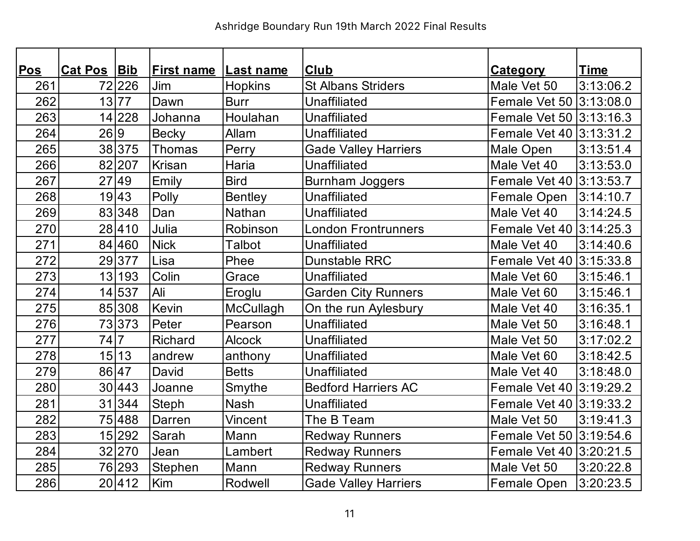| Pos | Cat Pos Bib |                | <b>First name</b> | Last name      | <b>Club</b>                 | <u>Category</u>         | <u>Time</u> |
|-----|-------------|----------------|-------------------|----------------|-----------------------------|-------------------------|-------------|
| 261 |             | 72 226         | Jim               | <b>Hopkins</b> | <b>St Albans Striders</b>   | Male Vet 50             | 3:13:06.2   |
| 262 |             | 13 77          | Dawn              | <b>Burr</b>    | <b>Unaffiliated</b>         | Female Vet 50 3:13:08.0 |             |
| 263 |             | 14 228         | Johanna           | Houlahan       | <b>Unaffiliated</b>         | Female Vet 50 3:13:16.3 |             |
| 264 | 26 9        |                | <b>Becky</b>      | Allam          | <b>Unaffiliated</b>         | Female Vet 40 3:13:31.2 |             |
| 265 |             | 38 375         | Thomas            | Perry          | <b>Gade Valley Harriers</b> | Male Open               | 3:13:51.4   |
| 266 |             | 82 207         | Krisan            | Haria          | <b>Unaffiliated</b>         | Male Vet 40             | 3:13:53.0   |
| 267 |             | 27 49          | Emily             | <b>Bird</b>    | <b>Burnham Joggers</b>      | Female Vet 40 3:13:53.7 |             |
| 268 |             | 19 43          | Polly             | <b>Bentley</b> | <b>Unaffiliated</b>         | Female Open             | 3:14:10.7   |
| 269 |             | 83 348         | Dan               | Nathan         | <b>Unaffiliated</b>         | Male Vet 40             | 3:14:24.5   |
| 270 |             | 28 410         | Julia             | Robinson       | <b>London Frontrunners</b>  | Female Vet 40 3:14:25.3 |             |
| 271 |             | 84 460         | <b>Nick</b>       | Talbot         | <b>Unaffiliated</b>         | Male Vet 40             | 3:14:40.6   |
| 272 |             | 29377          | Lisa              | Phee           | <b>Dunstable RRC</b>        | Female Vet 40 3:15:33.8 |             |
| 273 |             | 13 193         | Colin             | Grace          | <b>Unaffiliated</b>         | Male Vet 60             | 3:15:46.1   |
| 274 |             | 14 537         | Ali               | Eroglu         | <b>Garden City Runners</b>  | Male Vet 60             | 3:15:46.1   |
| 275 |             | 85 308         | Kevin             | McCullagh      | On the run Aylesbury        | Male Vet 40             | 3:16:35.1   |
| 276 |             | 73373          | Peter             | Pearson        | <b>Unaffiliated</b>         | Male Vet 50             | 3:16:48.1   |
| 277 | 74          | $\overline{7}$ | <b>Richard</b>    | <b>Alcock</b>  | <b>Unaffiliated</b>         | Male Vet 50             | 3:17:02.2   |
| 278 |             | 15 13          | andrew            | anthony        | <b>Unaffiliated</b>         | Male Vet 60             | 3:18:42.5   |
| 279 |             | 86 47          | David             | <b>Betts</b>   | <b>Unaffiliated</b>         | Male Vet 40             | 3:18:48.0   |
| 280 |             | 30 443         | Joanne            | Smythe         | <b>Bedford Harriers AC</b>  | Female Vet 40 3:19:29.2 |             |
| 281 |             | 31 344         | <b>Steph</b>      | <b>Nash</b>    | Unaffiliated                | Female Vet 40 3:19:33.2 |             |
| 282 |             | 75 488         | Darren            | Vincent        | The B Team                  | Male Vet 50             | 3:19:41.3   |
| 283 |             | 15 292         | Sarah             | Mann           | <b>Redway Runners</b>       | Female Vet 50 3:19:54.6 |             |
| 284 |             | 32 270         | Jean              | Lambert        | <b>Redway Runners</b>       | Female Vet 40 3:20:21.5 |             |
| 285 |             | 76 293         | Stephen           | Mann           | <b>Redway Runners</b>       | Male Vet 50             | 3:20:22.8   |
| 286 |             | 20412          | Kim               | Rodwell        | <b>Gade Valley Harriers</b> | <b>Female Open</b>      | 3:20:23.5   |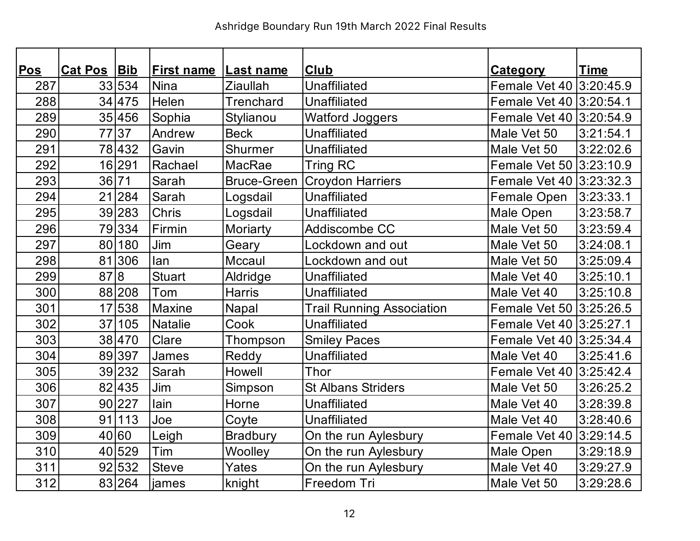| <b>Pos</b> | Cat Pos Bib |        | <b>First name</b> | Last name          | <b>Club</b>                      | <b>Category</b>         | <u>Time</u> |
|------------|-------------|--------|-------------------|--------------------|----------------------------------|-------------------------|-------------|
| 287        |             | 33 534 | <b>Nina</b>       | <b>Ziaullah</b>    | <b>Unaffiliated</b>              | Female Vet 40 3:20:45.9 |             |
| 288        |             | 34 475 | Helen             | Trenchard          | <b>Unaffiliated</b>              | Female Vet 40 3:20:54.1 |             |
| 289        |             | 35 456 | Sophia            | <b>Stylianou</b>   | <b>Watford Joggers</b>           | Female Vet 40 3:20:54.9 |             |
| 290        |             | 7737   | Andrew            | <b>Beck</b>        | <b>Unaffiliated</b>              | Male Vet 50             | 3:21:54.1   |
| 291        |             | 78 432 | Gavin             | Shurmer            | <b>Unaffiliated</b>              | Male Vet 50             | 3:22:02.6   |
| 292        |             | 16 291 | Rachael           | MacRae             | <b>Tring RC</b>                  | Female Vet 50 3:23:10.9 |             |
| 293        |             | 36 71  | Sarah             | <b>Bruce-Green</b> | <b>Croydon Harriers</b>          | Female Vet 40 3:23:32.3 |             |
| 294        |             | 21 284 | Sarah             | Logsdail           | <b>Unaffiliated</b>              | Female Open             | 3:23:33.1   |
| 295        |             | 39 283 | Chris             | Logsdail           | <b>Unaffiliated</b>              | Male Open               | 3:23:58.7   |
| 296        |             | 79334  | Firmin            | Moriarty           | Addiscombe CC                    | Male Vet 50             | 3:23:59.4   |
| 297        |             | 80 180 | Jim               | Geary              | Lockdown and out                 | Male Vet 50             | 3:24:08.1   |
| 298        |             | 81 306 | lan               | Mccaul             | Lockdown and out                 | Male Vet 50             | 3:25:09.4   |
| 299        | 87 8        |        | <b>Stuart</b>     | Aldridge           | <b>Unaffiliated</b>              | Male Vet 40             | 3:25:10.1   |
| 300        |             | 88 208 | Tom               | <b>Harris</b>      | <b>Unaffiliated</b>              | Male Vet 40             | 3:25:10.8   |
| 301        |             | 17 538 | <b>Maxine</b>     | Napal              | <b>Trail Running Association</b> | Female Vet 50 3:25:26.5 |             |
| 302        |             | 37 105 | <b>Natalie</b>    | Cook               | <b>Unaffiliated</b>              | Female Vet 40 3:25:27.1 |             |
| 303        |             | 38 470 | Clare             | Thompson           | <b>Smiley Paces</b>              | Female Vet 40 3:25:34.4 |             |
| 304        |             | 89 397 | James             | Reddy              | Unaffiliated                     | Male Vet 40             | 3:25:41.6   |
| 305        |             | 39 232 | Sarah             | Howell             | Thor                             | Female Vet 40 3:25:42.4 |             |
| 306        |             | 82 435 | Jim               | Simpson            | <b>St Albans Striders</b>        | Male Vet 50             | 3:26:25.2   |
| 307        |             | 90 227 | lain              | Horne              | Unaffiliated                     | Male Vet 40             | 3:28:39.8   |
| 308        |             | 91 113 | Joe               | Coyte              | <b>Unaffiliated</b>              | Male Vet 40             | 3:28:40.6   |
| 309        |             | 40 60  | Leigh             | <b>Bradbury</b>    | On the run Aylesbury             | Female Vet 40 3:29:14.5 |             |
| 310        |             | 40 529 | Tim               | Woolley            | On the run Aylesbury             | Male Open               | 3:29:18.9   |
| 311        |             | 92 532 | <b>Steve</b>      | Yates              | On the run Aylesbury             | Male Vet 40             | 3:29:27.9   |
| 312        |             | 83 264 | james             | knight             | Freedom Tri                      | Male Vet 50             | 3:29:28.6   |